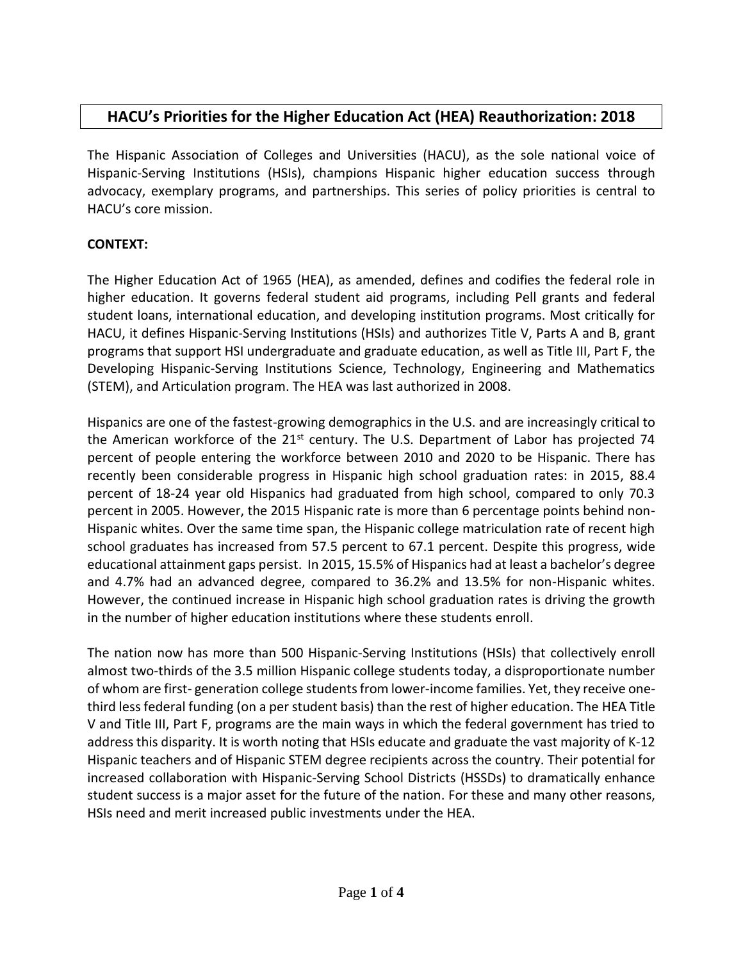## **HACU's Priorities for the Higher Education Act (HEA) Reauthorization: 2018**

The Hispanic Association of Colleges and Universities (HACU), as the sole national voice of Hispanic-Serving Institutions (HSIs), champions Hispanic higher education success through advocacy, exemplary programs, and partnerships. This series of policy priorities is central to HACU's core mission.

## **CONTEXT:**

The Higher Education Act of 1965 (HEA), as amended, defines and codifies the federal role in higher education. It governs federal student aid programs, including Pell grants and federal student loans, international education, and developing institution programs. Most critically for HACU, it defines Hispanic-Serving Institutions (HSIs) and authorizes Title V, Parts A and B, grant programs that support HSI undergraduate and graduate education, as well as Title III, Part F, the Developing Hispanic-Serving Institutions Science, Technology, Engineering and Mathematics (STEM), and Articulation program. The HEA was last authorized in 2008.

Hispanics are one of the fastest-growing demographics in the U.S. and are increasingly critical to the American workforce of the 21<sup>st</sup> century. The U.S. Department of Labor has projected 74 percent of people entering the workforce between 2010 and 2020 to be Hispanic. There has recently been considerable progress in Hispanic high school graduation rates: in 2015, 88.4 percent of 18-24 year old Hispanics had graduated from high school, compared to only 70.3 percent in 2005. However, the 2015 Hispanic rate is more than 6 percentage points behind non-Hispanic whites. Over the same time span, the Hispanic college matriculation rate of recent high school graduates has increased from 57.5 percent to 67.1 percent. Despite this progress, wide educational attainment gaps persist. In 2015, 15.5% of Hispanics had at least a bachelor's degree and 4.7% had an advanced degree, compared to 36.2% and 13.5% for non-Hispanic whites. However, the continued increase in Hispanic high school graduation rates is driving the growth in the number of higher education institutions where these students enroll.

The nation now has more than 500 Hispanic-Serving Institutions (HSIs) that collectively enroll almost two-thirds of the 3.5 million Hispanic college students today, a disproportionate number of whom are first- generation college students from lower-income families. Yet, they receive onethird less federal funding (on a per student basis) than the rest of higher education. The HEA Title V and Title III, Part F, programs are the main ways in which the federal government has tried to address this disparity. It is worth noting that HSIs educate and graduate the vast majority of K-12 Hispanic teachers and of Hispanic STEM degree recipients across the country. Their potential for increased collaboration with Hispanic-Serving School Districts (HSSDs) to dramatically enhance student success is a major asset for the future of the nation. For these and many other reasons, HSIs need and merit increased public investments under the HEA.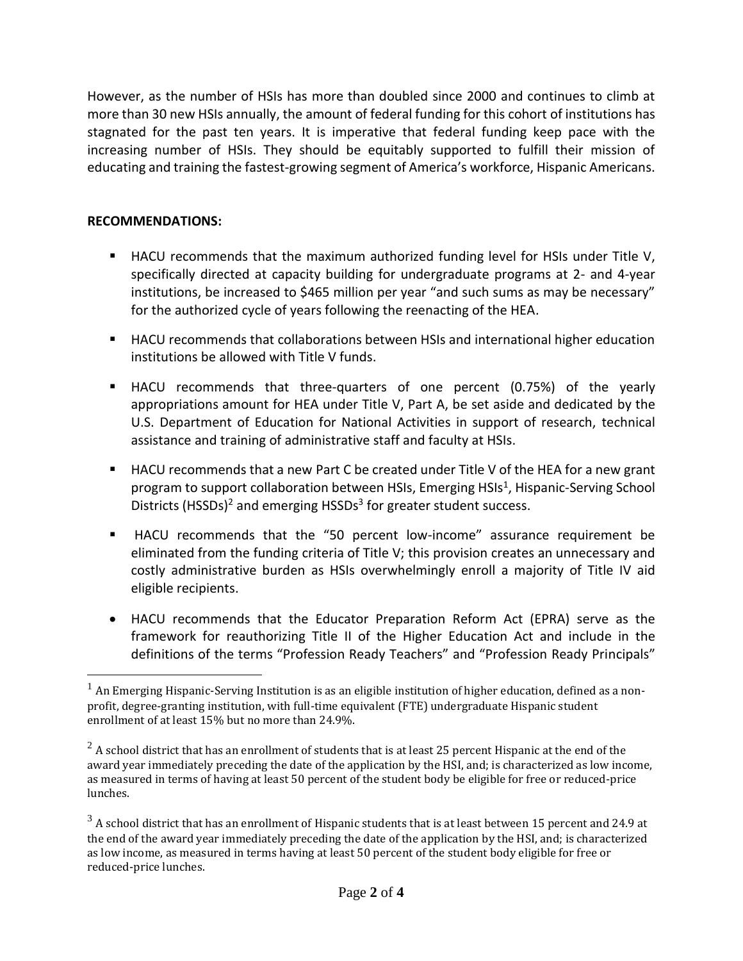However, as the number of HSIs has more than doubled since 2000 and continues to climb at more than 30 new HSIs annually, the amount of federal funding for this cohort of institutions has stagnated for the past ten years. It is imperative that federal funding keep pace with the increasing number of HSIs. They should be equitably supported to fulfill their mission of educating and training the fastest-growing segment of America's workforce, Hispanic Americans.

## **RECOMMENDATIONS:**

 $\overline{a}$ 

- HACU recommends that the maximum authorized funding level for HSIs under Title V, specifically directed at capacity building for undergraduate programs at 2- and 4-year institutions, be increased to \$465 million per year "and such sums as may be necessary" for the authorized cycle of years following the reenacting of the HEA.
- HACU recommends that collaborations between HSIs and international higher education institutions be allowed with Title V funds.
- HACU recommends that three-quarters of one percent (0.75%) of the yearly appropriations amount for HEA under Title V, Part A, be set aside and dedicated by the U.S. Department of Education for National Activities in support of research, technical assistance and training of administrative staff and faculty at HSIs.
- HACU recommends that a new Part C be created under Title V of the HEA for a new grant program to support collaboration between HSIs, Emerging HSIs<sup>1</sup>, Hispanic-Serving School Districts (HSSDs)<sup>2</sup> and emerging HSSDs<sup>3</sup> for greater student success.
- HACU recommends that the "50 percent low-income" assurance requirement be eliminated from the funding criteria of Title V; this provision creates an unnecessary and costly administrative burden as HSIs overwhelmingly enroll a majority of Title IV aid eligible recipients.
- HACU recommends that the Educator Preparation Reform Act (EPRA) serve as the framework for reauthorizing Title II of the Higher Education Act and include in the definitions of the terms "Profession Ready Teachers" and "Profession Ready Principals"

 $<sup>1</sup>$  An Emerging Hispanic-Serving Institution is as an eligible institution of higher education, defined as a non-</sup> profit, degree-granting institution, with full-time equivalent (FTE) undergraduate Hispanic student enrollment of at least 15% but no more than 24.9%.

 $2\text{ A}$  school district that has an enrollment of students that is at least 25 percent Hispanic at the end of the award year immediately preceding the date of the application by the HSI, and; is characterized as low income, as measured in terms of having at least 50 percent of the student body be eligible for free or reduced-price lunches.

 $3$  A school district that has an enrollment of Hispanic students that is at least between 15 percent and 24.9 at the end of the award year immediately preceding the date of the application by the HSI, and; is characterized as low income, as measured in terms having at least 50 percent of the student body eligible for free or reduced-price lunches.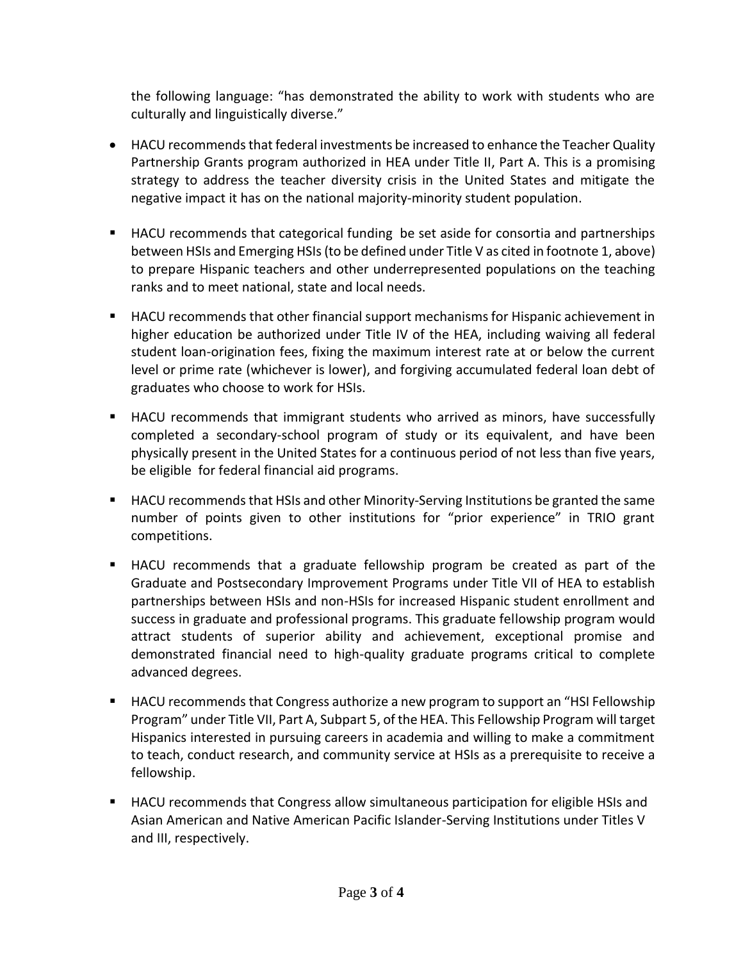the following language: "has demonstrated the ability to work with students who are culturally and linguistically diverse."

- HACU recommends that federal investments be increased to enhance the Teacher Quality Partnership Grants program authorized in HEA under Title II, Part A. This is a promising strategy to address the teacher diversity crisis in the United States and mitigate the negative impact it has on the national majority-minority student population.
- HACU recommends that categorical funding be set aside for consortia and partnerships between HSIs and Emerging HSIs (to be defined under Title V as cited in footnote 1, above) to prepare Hispanic teachers and other underrepresented populations on the teaching ranks and to meet national, state and local needs.
- HACU recommends that other financial support mechanisms for Hispanic achievement in higher education be authorized under Title IV of the HEA, including waiving all federal student loan-origination fees, fixing the maximum interest rate at or below the current level or prime rate (whichever is lower), and forgiving accumulated federal loan debt of graduates who choose to work for HSIs.
- HACU recommends that immigrant students who arrived as minors, have successfully completed a secondary-school program of study or its equivalent, and have been physically present in the United States for a continuous period of not less than five years, be eligible for federal financial aid programs.
- HACU recommends that HSIs and other Minority-Serving Institutions be granted the same number of points given to other institutions for "prior experience" in TRIO grant competitions.
- HACU recommends that a graduate fellowship program be created as part of the Graduate and Postsecondary Improvement Programs under Title VII of HEA to establish partnerships between HSIs and non-HSIs for increased Hispanic student enrollment and success in graduate and professional programs. This graduate fellowship program would attract students of superior ability and achievement, exceptional promise and demonstrated financial need to high-quality graduate programs critical to complete advanced degrees.
- HACU recommends that Congress authorize a new program to support an "HSI Fellowship Program" under Title VII, Part A, Subpart 5, of the HEA. This Fellowship Program will target Hispanics interested in pursuing careers in academia and willing to make a commitment to teach, conduct research, and community service at HSIs as a prerequisite to receive a fellowship.
- HACU recommends that Congress allow simultaneous participation for eligible HSIs and Asian American and Native American Pacific Islander-Serving Institutions under Titles V and III, respectively.